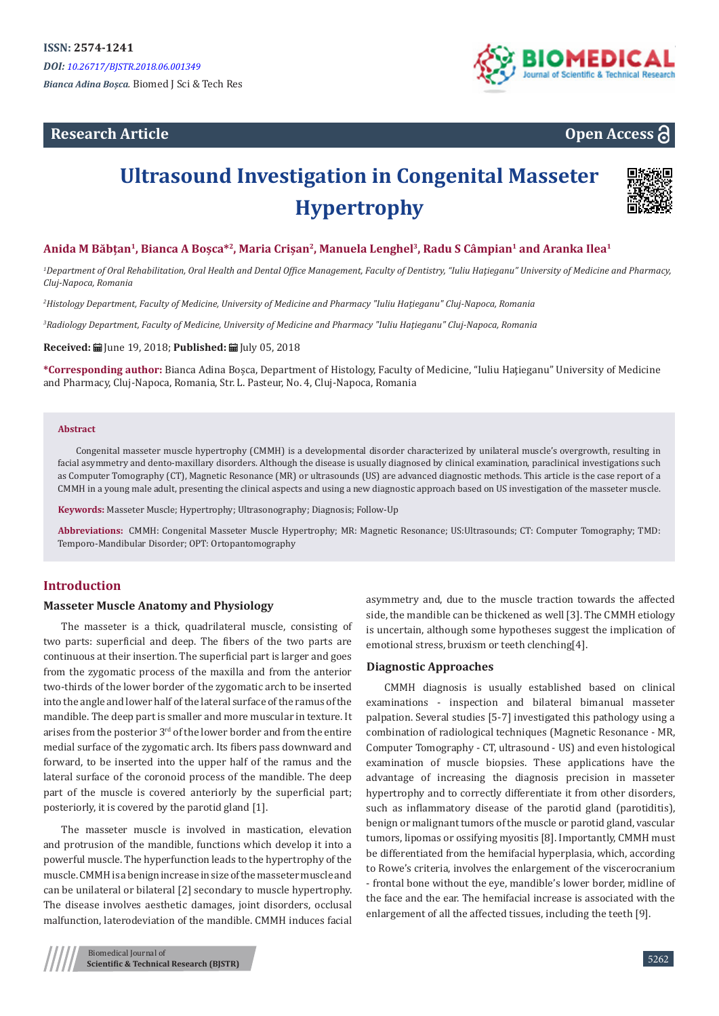# **Research Article**



**Open Access**

# **Ultrasound Investigation in Congenital Masseter Hypertrophy**



# **Anida M Băbțan<sup>1</sup>, Bianca A Boșca\*<sup>2</sup>, Maria Crișan2, Manuela Lenghel3, Radu S Câmpian1 and Aranka Ilea1**

*1 Department of Oral Rehabilitation, Oral Health and Dental Office Management, Faculty of Dentistry, "Iuliu Haţieganu" University of Medicine and Pharmacy, Cluj-Napoca, Romania*

*2 Histology Department, Faculty of Medicine, University of Medicine and Pharmacy ʺIuliu Haţieganuʺ Cluj-Napoca, Romania*

*3 Radiology Department, Faculty of Medicine, University of Medicine and Pharmacy ʺIuliu Haţieganuʺ Cluj-Napoca, Romania*

**Received:** June 19, 2018; **Published:** July 05, 2018

**\*Corresponding author:** Bianca Adina Boșca, Department of Histology, Faculty of Medicine, "Iuliu Haţieganu" University of Medicine and Pharmacy, Cluj-Napoca, Romania, Str. L. Pasteur, No. 4, Cluj-Napoca, Romania

#### **Abstract**

Congenital masseter muscle hypertrophy (CMMH) is a developmental disorder characterized by unilateral muscle's overgrowth, resulting in facial asymmetry and dento-maxillary disorders. Although the disease is usually diagnosed by clinical examination, paraclinical investigations such as Computer Tomography (CT), Magnetic Resonance (MR) or ultrasounds (US) are advanced diagnostic methods. This article is the case report of a CMMH in a young male adult, presenting the clinical aspects and using a new diagnostic approach based on US investigation of the masseter muscle.

**Keywords:** Masseter Muscle; Hypertrophy; Ultrasonography; Diagnosis; Follow-Up

**Abbreviations:** CMMH: Congenital Masseter Muscle Hypertrophy; MR: Magnetic Resonance; US:Ultrasounds; CT: Computer Tomography; TMD: Temporo-Mandibular Disorder; OPT: Ortopantomography

# **Introduction**

#### **Masseter Muscle Anatomy and Physiology**

The masseter is a thick, quadrilateral muscle, consisting of two parts: superficial and deep. The fibers of the two parts are continuous at their insertion. The superficial part is larger and goes from the zygomatic process of the maxilla and from the anterior two-thirds of the lower border of the zygomatic arch to be inserted into the angle and lower half of the lateral surface of the ramus of the mandible. The deep part is smaller and more muscular in texture. It arises from the posterior 3rd of the lower border and from the entire medial surface of the zygomatic arch. Its fibers pass downward and forward, to be inserted into the upper half of the ramus and the lateral surface of the coronoid process of the mandible. The deep part of the muscle is covered anteriorly by the superficial part; posteriorly, it is covered by the parotid gland [1].

The masseter muscle is involved in mastication, elevation and protrusion of the mandible, functions which develop it into a powerful muscle. The hyperfunction leads to the hypertrophy of the muscle. CMMH is a benign increase in size of the masseter muscle and can be unilateral or bilateral [2] secondary to muscle hypertrophy. The disease involves aesthetic damages, joint disorders, occlusal malfunction, laterodeviation of the mandible. CMMH induces facial

asymmetry and, due to the muscle traction towards the affected side, the mandible can be thickened as well [3]. The CMMH etiology is uncertain, although some hypotheses suggest the implication of emotional stress, bruxism or teeth clenching[4].

#### **Diagnostic Approaches**

CMMH diagnosis is usually established based on clinical examinations - inspection and bilateral bimanual masseter palpation. Several studies [5-7] investigated this pathology using a combination of radiological techniques (Magnetic Resonance - MR, Computer Tomography - CT, ultrasound - US) and even histological examination of muscle biopsies. These applications have the advantage of increasing the diagnosis precision in masseter hypertrophy and to correctly differentiate it from other disorders, such as inflammatory disease of the parotid gland (parotiditis), benign or malignant tumors of the muscle or parotid gland, vascular tumors, lipomas or ossifying myositis [8]. Importantly, CMMH must be differentiated from the hemifacial hyperplasia, which, according to Rowe's criteria, involves the enlargement of the viscerocranium - frontal bone without the eye, mandible's lower border, midline of the face and the ear. The hemifacial increase is associated with the enlargement of all the affected tissues, including the teeth [9].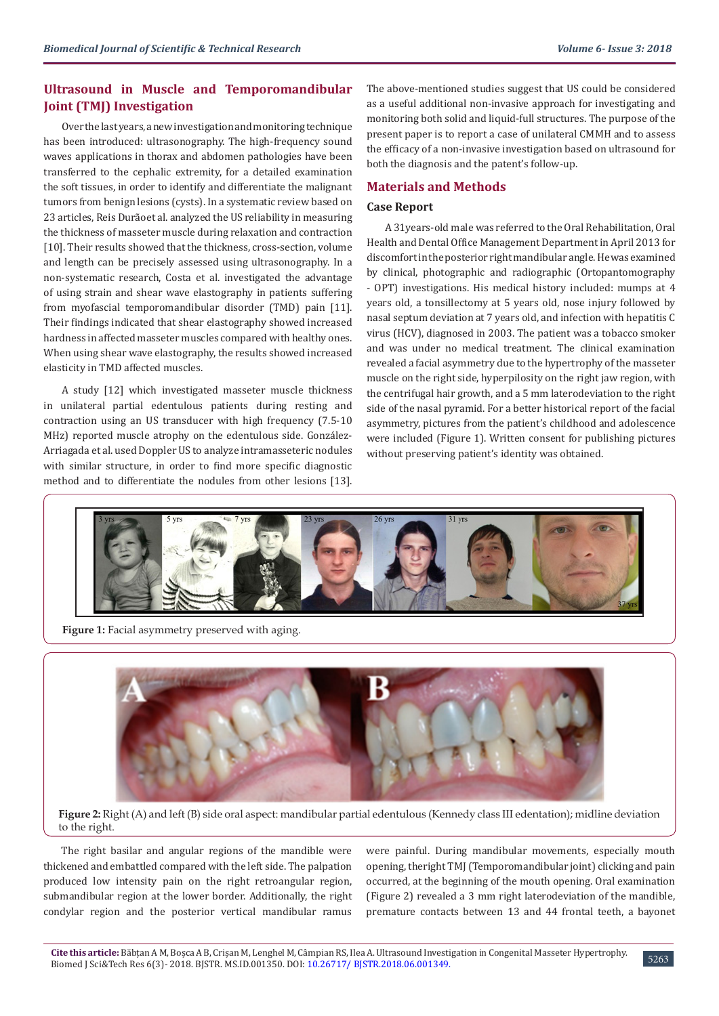# **Ultrasound in Muscle and Temporomandibular Joint (TMJ) Investigation**

Over the last years, a new investigation and monitoring technique has been introduced: ultrasonography. The high-frequency sound waves applications in thorax and abdomen pathologies have been transferred to the cephalic extremity, for a detailed examination the soft tissues, in order to identify and differentiate the malignant tumors from benign lesions (cysts). In a systematic review based on 23 articles, Reis Durãoet al. analyzed the US reliability in measuring the thickness of masseter muscle during relaxation and contraction [10]. Their results showed that the thickness, cross-section, volume and length can be precisely assessed using ultrasonography. In a non-systematic research, Costa et al. investigated the advantage of using strain and shear wave elastography in patients suffering from myofascial temporomandibular disorder (TMD) pain [11]. Their findings indicated that shear elastography showed increased hardness in affected masseter muscles compared with healthy ones. When using shear wave elastography, the results showed increased elasticity in TMD affected muscles.

A study [12] which investigated masseter muscle thickness in unilateral partial edentulous patients during resting and contraction using an US transducer with high frequency (7.5-10 MHz) reported muscle atrophy on the edentulous side. González-Arriagada et al. used Doppler US to analyze intramasseteric nodules with similar structure, in order to find more specific diagnostic method and to differentiate the nodules from other lesions [13].

The above-mentioned studies suggest that US could be considered as a useful additional non-invasive approach for investigating and monitoring both solid and liquid-full structures. The purpose of the present paper is to report a case of unilateral CMMH and to assess the efficacy of a non-invasive investigation based on ultrasound for both the diagnosis and the patent's follow-up.

# **Materials and Methods**

# **Case Report**

A 31years-old male was referred to the Oral Rehabilitation, Oral Health and Dental Office Management Department in April 2013 for discomfort in the posterior right mandibular angle. He was examined by clinical, photographic and radiographic (Ortopantomography - OPT) investigations. His medical history included: mumps at 4 years old, a tonsillectomy at 5 years old, nose injury followed by nasal septum deviation at 7 years old, and infection with hepatitis C virus (HCV), diagnosed in 2003. The patient was a tobacco smoker and was under no medical treatment. The clinical examination revealed a facial asymmetry due to the hypertrophy of the masseter muscle on the right side, hyperpilosity on the right jaw region, with the centrifugal hair growth, and a 5 mm laterodeviation to the right side of the nasal pyramid. For a better historical report of the facial asymmetry, pictures from the patient's childhood and adolescence were included (Figure 1). Written consent for publishing pictures without preserving patient's identity was obtained.



Figure 1: Facial asymmetry preserved with aging.



**Figure 2:** Right (A) and left (B) side oral aspect: mandibular partial edentulous (Kennedy class III edentation); midline deviation to the right.

The right basilar and angular regions of the mandible were thickened and embattled compared with the left side. The palpation produced low intensity pain on the right retroangular region, submandibular region at the lower border. Additionally, the right condylar region and the posterior vertical mandibular ramus

were painful. During mandibular movements, especially mouth opening, theright TMJ (Temporomandibular joint) clicking and pain occurred, at the beginning of the mouth opening. Oral examination (Figure 2) revealed a 3 mm right laterodeviation of the mandible, premature contacts between 13 and 44 frontal teeth, a bayonet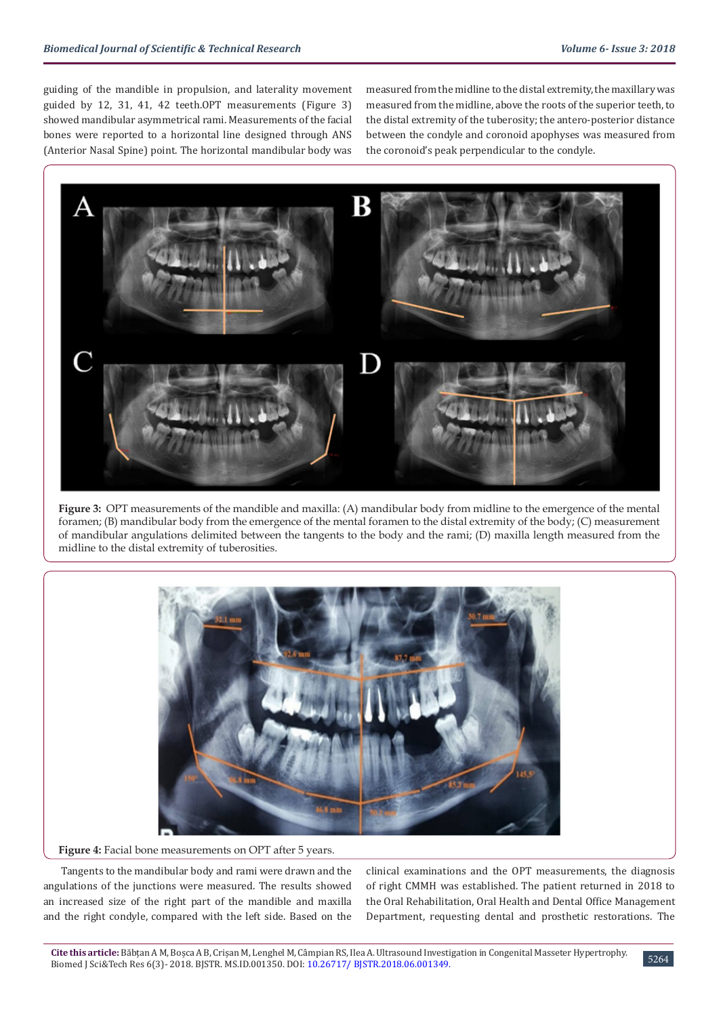guiding of the mandible in propulsion, and laterality movement guided by 12, 31, 41, 42 teeth.OPT measurements (Figure 3) showed mandibular asymmetrical rami. Measurements of the facial bones were reported to a horizontal line designed through ANS (Anterior Nasal Spine) point. The horizontal mandibular body was

measured from the midline to the distal extremity, the maxillary was measured from the midline, above the roots of the superior teeth, to the distal extremity of the tuberosity; the antero-posterior distance between the condyle and coronoid apophyses was measured from the coronoid's peak perpendicular to the condyle.



**Figure 3:** OPT measurements of the mandible and maxilla: (A) mandibular body from midline to the emergence of the mental foramen; (B) mandibular body from the emergence of the mental foramen to the distal extremity of the body; (C) measurement of mandibular angulations delimited between the tangents to the body and the rami; (D) maxilla length measured from the midline to the distal extremity of tuberosities.



Figure 4: Facial bone measurements on OPT after 5 years.

Tangents to the mandibular body and rami were drawn and the angulations of the junctions were measured. The results showed an increased size of the right part of the mandible and maxilla and the right condyle, compared with the left side. Based on the

clinical examinations and the OPT measurements, the diagnosis of right CMMH was established. The patient returned in 2018 to the Oral Rehabilitation, Oral Health and Dental Office Management Department, requesting dental and prosthetic restorations. The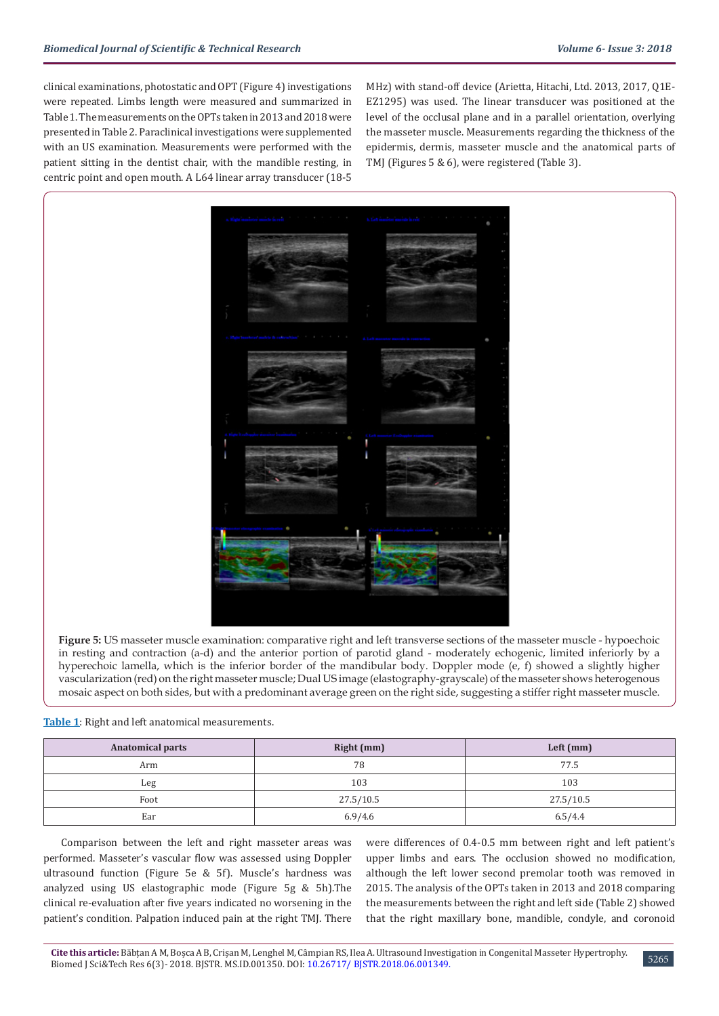clinical examinations, photostatic and OPT (Figure 4) investigations were repeated. Limbs length were measured and summarized in Table 1. The measurements on the OPTs taken in 2013 and 2018 were presented in Table 2. Paraclinical investigations were supplemented with an US examination. Measurements were performed with the patient sitting in the dentist chair, with the mandible resting, in centric point and open mouth. A L64 linear array transducer (18-5

MHz) with stand-off device (Arietta, Hitachi, Ltd. 2013, 2017, Q1E-EZ1295) was used. The linear transducer was positioned at the level of the occlusal plane and in a parallel orientation, overlying the masseter muscle. Measurements regarding the thickness of the epidermis, dermis, masseter muscle and the anatomical parts of TMJ (Figures 5 & 6), were registered (Table 3).



**Figure 5:** US masseter muscle examination: comparative right and left transverse sections of the masseter muscle - hypoechoic in resting and contraction (a-d) and the anterior portion of parotid gland - moderately echogenic, limited inferiorly by a hyperechoic lamella, which is the inferior border of the mandibular body. Doppler mode (e, f) showed a slightly higher vascularization (red) on the right masseter muscle; Dual US image (elastography-grayscale) of the masseter shows heterogenous mosaic aspect on both sides, but with a predominant average green on the right side, suggesting a stiffer right masseter muscle.

| Table 1: Right and left anatomical measurements. |
|--------------------------------------------------|
|--------------------------------------------------|

| <b>Anatomical parts</b> | Right (mm) | Left $(mm)$ |  |
|-------------------------|------------|-------------|--|
| Arm                     | 78         | 77.5        |  |
| Leg                     | 103        | 103         |  |
| Foot                    | 27.5/10.5  | 27.5/10.5   |  |
| Ear                     | 6.9/4.6    | 6.5/4.4     |  |

Comparison between the left and right masseter areas was performed. Masseter's vascular flow was assessed using Doppler ultrasound function (Figure 5e & 5f). Muscle's hardness was analyzed using US elastographic mode (Figure 5g & 5h).The clinical re-evaluation after five years indicated no worsening in the patient's condition. Palpation induced pain at the right TMJ. There

were differences of 0.4-0.5 mm between right and left patient's upper limbs and ears. The occlusion showed no modification, although the left lower second premolar tooth was removed in 2015. The analysis of the OPTs taken in 2013 and 2018 comparing the measurements between the right and left side (Table 2) showed that the right maxillary bone, mandible, condyle, and coronoid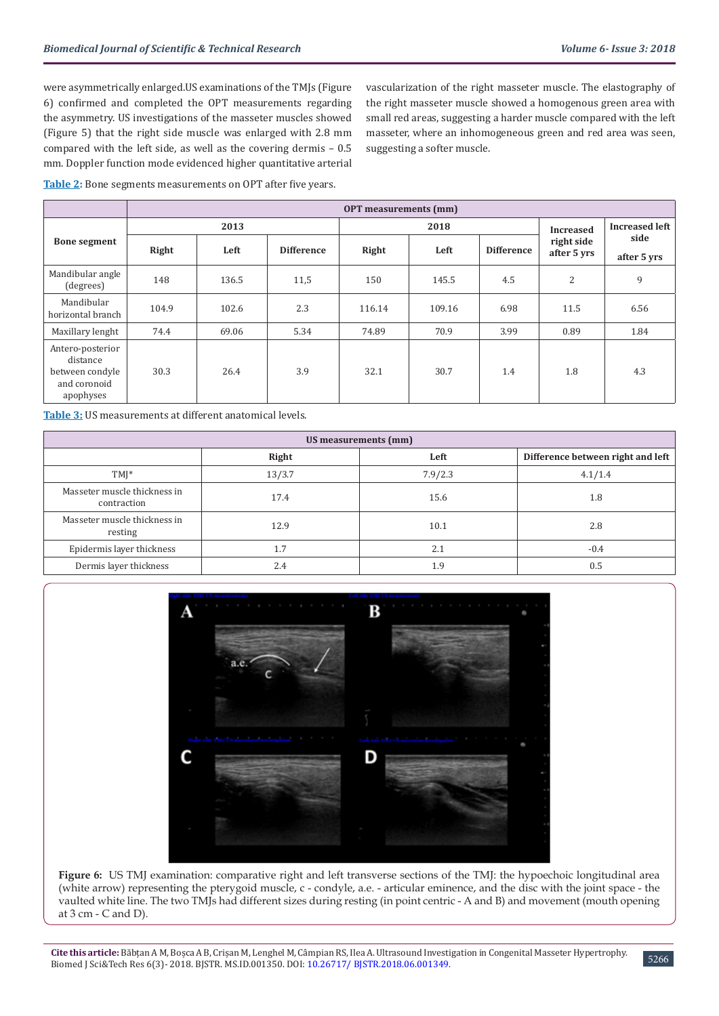vascularization of the right masseter muscle. The elastography of the right masseter muscle showed a homogenous green area with small red areas, suggesting a harder muscle compared with the left masseter, where an inhomogeneous green and red area was seen,

were asymmetrically enlarged.US examinations of the TMJs (Figure 6) confirmed and completed the OPT measurements regarding the asymmetry. US investigations of the masseter muscles showed (Figure 5) that the right side muscle was enlarged with 2.8 mm compared with the left side, as well as the covering dermis – 0.5 mm. Doppler function mode evidenced higher quantitative arterial

**Table 2:** Bone segments measurements on OPT after five years.

|                                                                              | <b>OPT</b> measurements (mm) |       |                   |        |        |                   |                           |                       |
|------------------------------------------------------------------------------|------------------------------|-------|-------------------|--------|--------|-------------------|---------------------------|-----------------------|
|                                                                              | 2013                         |       |                   | 2018   |        |                   | <b>Increased</b>          | <b>Increased left</b> |
| <b>Bone segment</b>                                                          | Right                        | Left  | <b>Difference</b> | Right  | Left   | <b>Difference</b> | right side<br>after 5 yrs | side<br>after 5 yrs   |
| Mandibular angle<br>(degrees)                                                | 148                          | 136.5 | 11,5              | 150    | 145.5  | 4.5               | $\overline{2}$            | 9                     |
| Mandibular<br>horizontal branch                                              | 104.9                        | 102.6 | 2.3               | 116.14 | 109.16 | 6.98              | 11.5                      | 6.56                  |
| Maxillary lenght                                                             | 74.4                         | 69.06 | 5.34              | 74.89  | 70.9   | 3.99              | 0.89                      | 1.84                  |
| Antero-posterior<br>distance<br>between condyle<br>and coronoid<br>apophyses | 30.3                         | 26.4  | 3.9               | 32.1   | 30.7   | 1.4               | 1.8                       | 4.3                   |

suggesting a softer muscle.

**Table 3:** US measurements at different anatomical levels.

| US measurements (mm)                        |        |         |                                   |  |  |  |  |
|---------------------------------------------|--------|---------|-----------------------------------|--|--|--|--|
|                                             | Right  | Left    | Difference between right and left |  |  |  |  |
| $TMI^*$                                     | 13/3.7 | 7.9/2.3 | 4.1/1.4                           |  |  |  |  |
| Masseter muscle thickness in<br>contraction | 17.4   | 15.6    | 1.8                               |  |  |  |  |
| Masseter muscle thickness in<br>resting     | 12.9   | 10.1    | 2.8                               |  |  |  |  |
| Epidermis layer thickness                   | 1.7    | 2.1     | $-0.4$                            |  |  |  |  |
| Dermis layer thickness                      | 2.4    | 1.9     | 0.5                               |  |  |  |  |



**Figure 6:** US TMJ examination: comparative right and left transverse sections of the TMJ: the hypoechoic longitudinal area (white arrow) representing the pterygoid muscle, c - condyle, a.e. - articular eminence, and the disc with the joint space - the vaulted white line. The two TMJs had different sizes during resting (in point centric - A and B) and movement (mouth opening at  $3$  cm  $-$  C and D).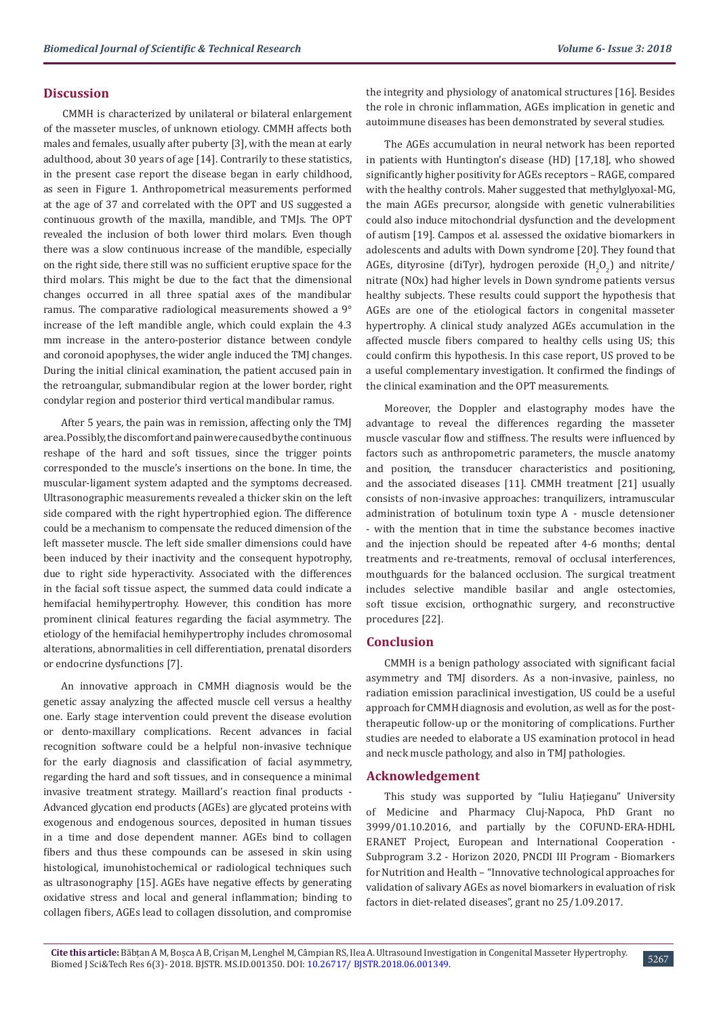# **Discussion**

CMMH is characterized by unilateral or bilateral enlargement of the masseter muscles, of unknown etiology. CMMH affects both males and females, usually after puberty [3], with the mean at early adulthood, about 30 years of age [14]. Contrarily to these statistics, in the present case report the disease began in early childhood, as seen in Figure 1. Anthropometrical measurements performed at the age of 37 and correlated with the OPT and US suggested a continuous growth of the maxilla, mandible, and TMJs. The OPT revealed the inclusion of both lower third molars. Even though there was a slow continuous increase of the mandible, especially on the right side, there still was no sufficient eruptive space for the third molars. This might be due to the fact that the dimensional changes occurred in all three spatial axes of the mandibular ramus. The comparative radiological measurements showed a 9° increase of the left mandible angle, which could explain the 4.3 mm increase in the antero-posterior distance between condyle and coronoid apophyses, the wider angle induced the TMJ changes. During the initial clinical examination, the patient accused pain in the retroangular, submandibular region at the lower border, right condylar region and posterior third vertical mandibular ramus.

After 5 years, the pain was in remission, affecting only the TMJ area. Possibly, the discomfort and pain were caused by the continuous reshape of the hard and soft tissues, since the trigger points corresponded to the muscle's insertions on the bone. In time, the muscular-ligament system adapted and the symptoms decreased. Ultrasonographic measurements revealed a thicker skin on the left side compared with the right hypertrophied egion. The difference could be a mechanism to compensate the reduced dimension of the left masseter muscle. The left side smaller dimensions could have been induced by their inactivity and the consequent hypotrophy, due to right side hyperactivity. Associated with the differences in the facial soft tissue aspect, the summed data could indicate a hemifacial hemihypertrophy. However, this condition has more prominent clinical features regarding the facial asymmetry. The etiology of the hemifacial hemihypertrophy includes chromosomal alterations, abnormalities in cell differentiation, prenatal disorders or endocrine dysfunctions [7].

An innovative approach in CMMH diagnosis would be the genetic assay analyzing the affected muscle cell versus a healthy one. Early stage intervention could prevent the disease evolution or dento-maxillary complications. Recent advances in facial recognition software could be a helpful non-invasive technique for the early diagnosis and classification of facial asymmetry, regarding the hard and soft tissues, and in consequence a minimal invasive treatment strategy. Maillard's reaction final products - Advanced glycation end products (AGEs) are glycated proteins with exogenous and endogenous sources, deposited in human tissues in a time and dose dependent manner. AGEs bind to collagen fibers and thus these compounds can be assesed in skin using histological, imunohistochemical or radiological techniques such as ultrasonography [15]. AGEs have negative effects by generating oxidative stress and local and general inflammation; binding to collagen fibers, AGEs lead to collagen dissolution, and compromise

the integrity and physiology of anatomical structures [16]. Besides the role in chronic inflammation, AGEs implication in genetic and autoimmune diseases has been demonstrated by several studies.

The AGEs accumulation in neural network has been reported in patients with Huntington's disease (HD) [17,18], who showed significantly higher positivity for AGEs receptors – RAGE, compared with the healthy controls. Maher suggested that methylglyoxal-MG, the main AGEs precursor, alongside with genetic vulnerabilities could also induce mitochondrial dysfunction and the development of autism [19]. Campos et al. assessed the oxidative biomarkers in adolescents and adults with Down syndrome [20]. They found that AGEs, dityrosine (diTyr), hydrogen peroxide  $\rm (H_2O_2)$  and nitrite/ nitrate (NOx) had higher levels in Down syndrome patients versus healthy subjects. These results could support the hypothesis that AGEs are one of the etiological factors in congenital masseter hypertrophy. A clinical study analyzed AGEs accumulation in the affected muscle fibers compared to healthy cells using US; this could confirm this hypothesis. In this case report, US proved to be a useful complementary investigation. It confirmed the findings of the clinical examination and the OPT measurements.

Moreover, the Doppler and elastography modes have the advantage to reveal the differences regarding the masseter muscle vascular flow and stiffness. The results were influenced by factors such as anthropometric parameters, the muscle anatomy and position, the transducer characteristics and positioning, and the associated diseases [11]. CMMH treatment [21] usually consists of non-invasive approaches: tranquilizers, intramuscular administration of botulinum toxin type A - muscle detensioner - with the mention that in time the substance becomes inactive and the injection should be repeated after 4-6 months; dental treatments and re-treatments, removal of occlusal interferences, mouthguards for the balanced occlusion. The surgical treatment includes selective mandible basilar and angle ostectomies, soft tissue excision, orthognathic surgery, and reconstructive procedures [22].

### **Conclusion**

CMMH is a benign pathology associated with significant facial asymmetry and TMJ disorders. As a non-invasive, painless, no radiation emission paraclinical investigation, US could be a useful approach for CMMH diagnosis and evolution, as well as for the posttherapeutic follow-up or the monitoring of complications. Further studies are needed to elaborate a US examination protocol in head and neck muscle pathology, and also in TMJ pathologies.

## **Acknowledgement**

This study was supported by "Iuliu Hațieganu" University of Medicine and Pharmacy Cluj-Napoca, PhD Grant no 3999/01.10.2016, and partially by the COFUND-ERA-HDHL ERANET Project, European and International Cooperation - Subprogram 3.2 - Horizon 2020, PNCDI III Program - Biomarkers for Nutrition and Health – "Innovative technological approaches for validation of salivary AGEs as novel biomarkers in evaluation of risk factors in diet-related diseases", grant no 25/1.09.2017.